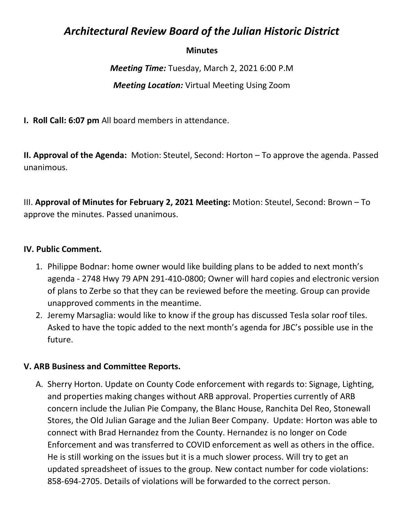# *Architectural Review Board of the Julian Historic District*

## **Minutes**

*Meeting Time:* Tuesday, March 2, 2021 6:00 P.M *Meeting Location:* Virtual Meeting Using Zoom

**I. Roll Call: 6:07 pm** All board members in attendance.

**II. Approval of the Agenda:** Motion: Steutel, Second: Horton – To approve the agenda. Passed unanimous.

III. **Approval of Minutes for February 2, 2021 Meeting:** Motion: Steutel, Second: Brown – To approve the minutes. Passed unanimous.

### **IV. Public Comment.**

- 1. Philippe Bodnar: home owner would like building plans to be added to next month's agenda - 2748 Hwy 79 APN 291-410-0800; Owner will hard copies and electronic version of plans to Zerbe so that they can be reviewed before the meeting. Group can provide unapproved comments in the meantime.
- 2. Jeremy Marsaglia: would like to know if the group has discussed Tesla solar roof tiles. Asked to have the topic added to the next month's agenda for JBC's possible use in the future.

### **V. ARB Business and Committee Reports.**

A. Sherry Horton. Update on County Code enforcement with regards to: Signage, Lighting, and properties making changes without ARB approval. Properties currently of ARB concern include the Julian Pie Company, the Blanc House, Ranchita Del Reo, Stonewall Stores, the Old Julian Garage and the Julian Beer Company. Update: Horton was able to connect with Brad Hernandez from the County. Hernandez is no longer on Code Enforcement and was transferred to COVID enforcement as well as others in the office. He is still working on the issues but it is a much slower process. Will try to get an updated spreadsheet of issues to the group. New contact number for code violations: 858-694-2705. Details of violations will be forwarded to the correct person.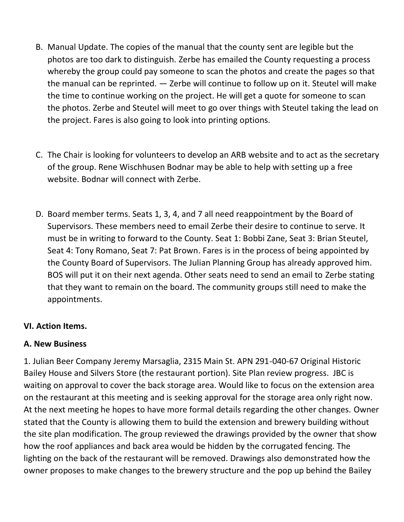- B. Manual Update. The copies of the manual that the county sent are legible but the photos are too dark to distinguish. Zerbe has emailed the County requesting a process whereby the group could pay someone to scan the photos and create the pages so that the manual can be reprinted. — Zerbe will continue to follow up on it. Steutel will make the time to continue working on the project. He will get a quote for someone to scan the photos. Zerbe and Steutel will meet to go over things with Steutel taking the lead on the project. Fares is also going to look into printing options.
- C. The Chair is looking for volunteers to develop an ARB website and to act as the secretary of the group. Rene Wischhusen Bodnar may be able to help with setting up a free website. Bodnar will connect with Zerbe.
- D. Board member terms. Seats 1, 3, 4, and 7 all need reappointment by the Board of Supervisors. These members need to email Zerbe their desire to continue to serve. It must be in writing to forward to the County. Seat 1: Bobbi Zane, Seat 3: Brian Steutel, Seat 4: Tony Romano, Seat 7: Pat Brown. Fares is in the process of being appointed by the County Board of Supervisors. The Julian Planning Group has already approved him. BOS will put it on their next agenda. Other seats need to send an email to Zerbe stating that they want to remain on the board. The community groups still need to make the appointments.

# **VI. Action Items.**

# **A. New Business**

1. Julian Beer Company Jeremy Marsaglia, 2315 Main St. APN 291-040-67 Original Historic Bailey House and Silvers Store (the restaurant portion). Site Plan review progress. JBC is waiting on approval to cover the back storage area. Would like to focus on the extension area on the restaurant at this meeting and is seeking approval for the storage area only right now. At the next meeting he hopes to have more formal details regarding the other changes. Owner stated that the County is allowing them to build the extension and brewery building without the site plan modification. The group reviewed the drawings provided by the owner that show how the roof appliances and back area would be hidden by the corrugated fencing. The lighting on the back of the restaurant will be removed. Drawings also demonstrated how the owner proposes to make changes to the brewery structure and the pop up behind the Bailey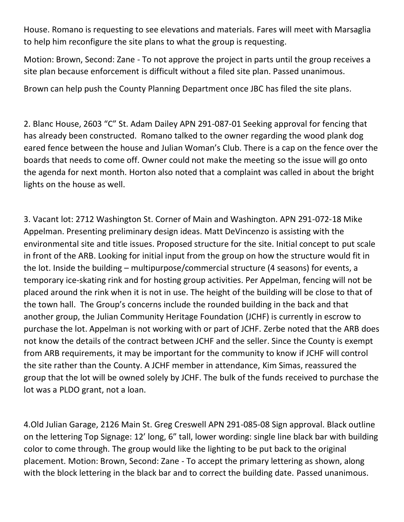House. Romano is requesting to see elevations and materials. Fares will meet with Marsaglia to help him reconfigure the site plans to what the group is requesting.

Motion: Brown, Second: Zane - To not approve the project in parts until the group receives a site plan because enforcement is difficult without a filed site plan. Passed unanimous.

Brown can help push the County Planning Department once JBC has filed the site plans.

2. Blanc House, 2603 "C" St. Adam Dailey APN 291-087-01 Seeking approval for fencing that has already been constructed. Romano talked to the owner regarding the wood plank dog eared fence between the house and Julian Woman's Club. There is a cap on the fence over the boards that needs to come off. Owner could not make the meeting so the issue will go onto the agenda for next month. Horton also noted that a complaint was called in about the bright lights on the house as well.

3. Vacant lot: 2712 Washington St. Corner of Main and Washington. APN 291-072-18 Mike Appelman. Presenting preliminary design ideas. Matt DeVincenzo is assisting with the environmental site and title issues. Proposed structure for the site. Initial concept to put scale in front of the ARB. Looking for initial input from the group on how the structure would fit in the lot. Inside the building – multipurpose/commercial structure (4 seasons) for events, a temporary ice-skating rink and for hosting group activities. Per Appelman, fencing will not be placed around the rink when it is not in use. The height of the building will be close to that of the town hall. The Group's concerns include the rounded building in the back and that another group, the Julian Community Heritage Foundation (JCHF) is currently in escrow to purchase the lot. Appelman is not working with or part of JCHF. Zerbe noted that the ARB does not know the details of the contract between JCHF and the seller. Since the County is exempt from ARB requirements, it may be important for the community to know if JCHF will control the site rather than the County. A JCHF member in attendance, Kim Simas, reassured the group that the lot will be owned solely by JCHF. The bulk of the funds received to purchase the lot was a PLDO grant, not a loan.

4.Old Julian Garage, 2126 Main St. Greg Creswell APN 291-085-08 Sign approval. Black outline on the lettering Top Signage: 12' long, 6" tall, lower wording: single line black bar with building color to come through. The group would like the lighting to be put back to the original placement. Motion: Brown, Second: Zane - To accept the primary lettering as shown, along with the block lettering in the black bar and to correct the building date. Passed unanimous.